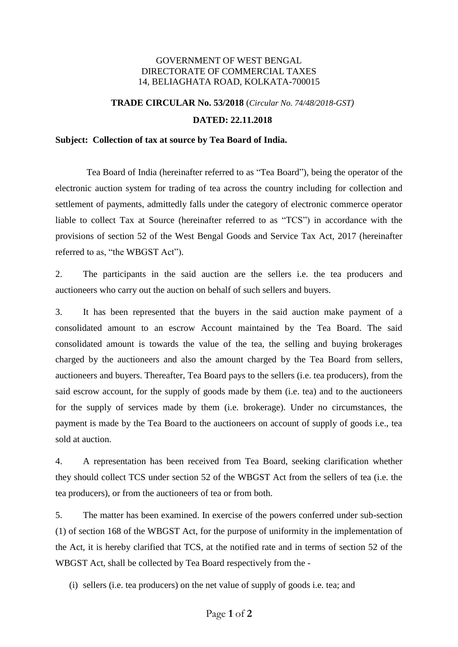## GOVERNMENT OF WEST BENGAL DIRECTORATE OF COMMERCIAL TAXES 14, BELIAGHATA ROAD, KOLKATA-700015

## **TRADE CIRCULAR No. 53/2018** (*Circular No. 74/48/2018-GST)*

## **DATED: 22.11.2018**

## **Subject: Collection of tax at source by Tea Board of India.**

Tea Board of India (hereinafter referred to as "Tea Board"), being the operator of the electronic auction system for trading of tea across the country including for collection and settlement of payments, admittedly falls under the category of electronic commerce operator liable to collect Tax at Source (hereinafter referred to as "TCS") in accordance with the provisions of section 52 of the West Bengal Goods and Service Tax Act, 2017 (hereinafter referred to as, "the WBGST Act").

2. The participants in the said auction are the sellers i.e. the tea producers and auctioneers who carry out the auction on behalf of such sellers and buyers.

3. It has been represented that the buyers in the said auction make payment of a consolidated amount to an escrow Account maintained by the Tea Board. The said consolidated amount is towards the value of the tea, the selling and buying brokerages charged by the auctioneers and also the amount charged by the Tea Board from sellers, auctioneers and buyers. Thereafter, Tea Board pays to the sellers (i.e. tea producers), from the said escrow account, for the supply of goods made by them (i.e. tea) and to the auctioneers for the supply of services made by them (i.e. brokerage). Under no circumstances, the payment is made by the Tea Board to the auctioneers on account of supply of goods i.e., tea sold at auction.

4. A representation has been received from Tea Board, seeking clarification whether they should collect TCS under section 52 of the WBGST Act from the sellers of tea (i.e. the tea producers), or from the auctioneers of tea or from both.

5. The matter has been examined. In exercise of the powers conferred under sub-section (1) of section 168 of the WBGST Act, for the purpose of uniformity in the implementation of the Act, it is hereby clarified that TCS, at the notified rate and in terms of section 52 of the WBGST Act, shall be collected by Tea Board respectively from the -

(i) sellers (i.e. tea producers) on the net value of supply of goods i.e. tea; and